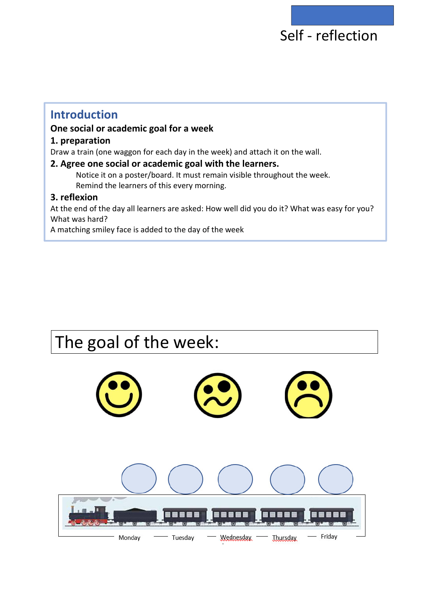## Self - reflection

## **Introduction**

## **One social or academic goal for a week**

## **1. preparation**

Draw a train (one waggon for each day in the week) and attach it on the wall.

## **2. Agree one social or academic goal with the learners.**

Notice it on a poster/board. It must remain visible throughout the week. Remind the learners of this every morning.

## **3. reflexion**

At the end of the day all learners are asked: How well did you do it? What was easy for you? What was hard?

A matching smiley face is added to the day of the week

# The goal of the week: Wednesday - Friday Monday Tuesday **Thursday**